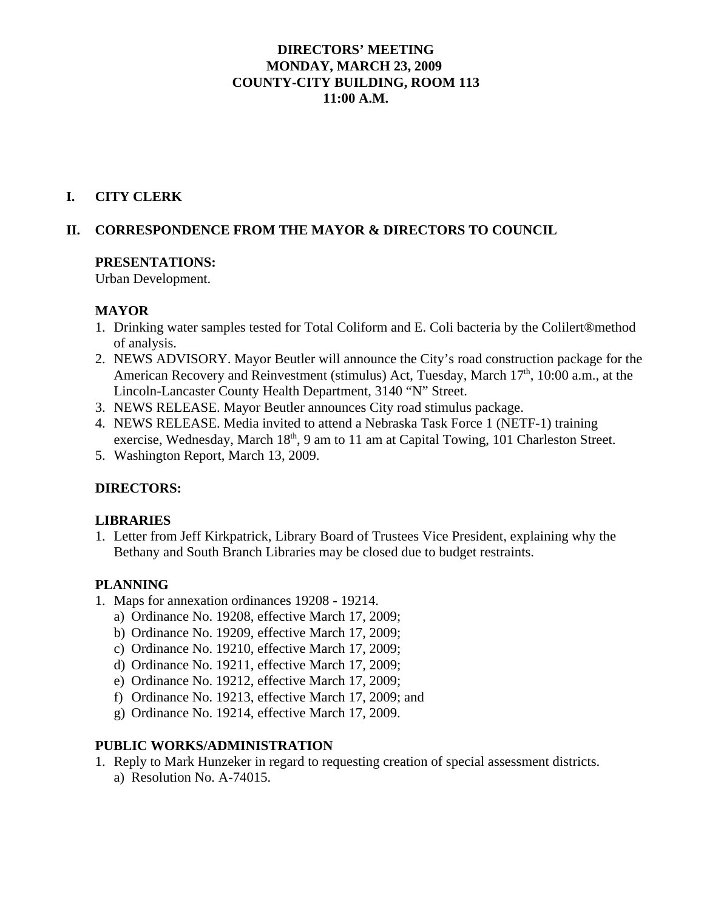# **DIRECTORS' MEETING MONDAY, MARCH 23, 2009 COUNTY-CITY BUILDING, ROOM 113 11:00 A.M.**

# **I. CITY CLERK**

# **II. CORRESPONDENCE FROM THE MAYOR & DIRECTORS TO COUNCIL**

#### **PRESENTATIONS:**

Urban Development.

# **MAYOR**

- 1. Drinking water samples tested for Total Coliform and E. Coli bacteria by the Colilert®method of analysis.
- 2. NEWS ADVISORY. Mayor Beutler will announce the City's road construction package for the American Recovery and Reinvestment (stimulus) Act, Tuesday, March  $17<sup>th</sup>$ , 10:00 a.m., at the Lincoln-Lancaster County Health Department, 3140 "N" Street.
- 3. NEWS RELEASE. Mayor Beutler announces City road stimulus package.
- 4. NEWS RELEASE. Media invited to attend a Nebraska Task Force 1 (NETF-1) training exercise, Wednesday, March  $18<sup>th</sup>$ , 9 am to 11 am at Capital Towing, 101 Charleston Street.
- 5. Washington Report, March 13, 2009.

# **DIRECTORS:**

# **LIBRARIES**

1. Letter from Jeff Kirkpatrick, Library Board of Trustees Vice President, explaining why the Bethany and South Branch Libraries may be closed due to budget restraints.

# **PLANNING**

- 1. Maps for annexation ordinances 19208 19214.
	- a) Ordinance No. 19208, effective March 17, 2009;
	- b) Ordinance No. 19209, effective March 17, 2009;
	- c) Ordinance No. 19210, effective March 17, 2009;
	- d) Ordinance No. 19211, effective March 17, 2009;
	- e) Ordinance No. 19212, effective March 17, 2009;
	- f) Ordinance No. 19213, effective March 17, 2009; and
	- g) Ordinance No. 19214, effective March 17, 2009.

# **PUBLIC WORKS/ADMINISTRATION**

- 1. Reply to Mark Hunzeker in regard to requesting creation of special assessment districts.
	- a) Resolution No. A-74015.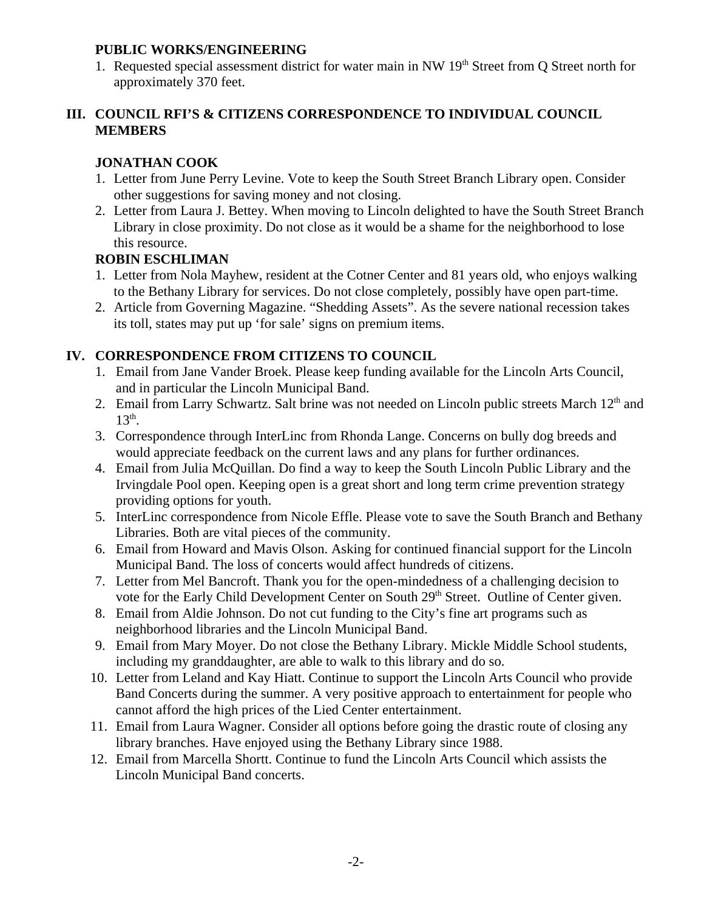# **PUBLIC WORKS/ENGINEERING**

1. Requested special assessment district for water main in NW 19<sup>th</sup> Street from Q Street north for approximately 370 feet.

# **III. COUNCIL RFI'S & CITIZENS CORRESPONDENCE TO INDIVIDUAL COUNCIL MEMBERS**

# **JONATHAN COOK**

- 1. Letter from June Perry Levine. Vote to keep the South Street Branch Library open. Consider other suggestions for saving money and not closing.
- 2. Letter from Laura J. Bettey. When moving to Lincoln delighted to have the South Street Branch Library in close proximity. Do not close as it would be a shame for the neighborhood to lose this resource.

# **ROBIN ESCHLIMAN**

- 1. Letter from Nola Mayhew, resident at the Cotner Center and 81 years old, who enjoys walking to the Bethany Library for services. Do not close completely, possibly have open part-time.
- 2. Article from Governing Magazine. "Shedding Assets". As the severe national recession takes its toll, states may put up 'for sale' signs on premium items.

# **IV. CORRESPONDENCE FROM CITIZENS TO COUNCIL**

- 1. Email from Jane Vander Broek. Please keep funding available for the Lincoln Arts Council, and in particular the Lincoln Municipal Band.
- 2. Email from Larry Schwartz. Salt brine was not needed on Lincoln public streets March 12<sup>th</sup> and  $13<sup>th</sup>$ .
- 3. Correspondence through InterLinc from Rhonda Lange. Concerns on bully dog breeds and would appreciate feedback on the current laws and any plans for further ordinances.
- 4. Email from Julia McQuillan. Do find a way to keep the South Lincoln Public Library and the Irvingdale Pool open. Keeping open is a great short and long term crime prevention strategy providing options for youth.
- 5. InterLinc correspondence from Nicole Effle. Please vote to save the South Branch and Bethany Libraries. Both are vital pieces of the community.
- 6. Email from Howard and Mavis Olson. Asking for continued financial support for the Lincoln Municipal Band. The loss of concerts would affect hundreds of citizens.
- 7. Letter from Mel Bancroft. Thank you for the open-mindedness of a challenging decision to vote for the Early Child Development Center on South 29<sup>th</sup> Street. Outline of Center given.
- 8. Email from Aldie Johnson. Do not cut funding to the City's fine art programs such as neighborhood libraries and the Lincoln Municipal Band.
- 9. Email from Mary Moyer. Do not close the Bethany Library. Mickle Middle School students, including my granddaughter, are able to walk to this library and do so.
- 10. Letter from Leland and Kay Hiatt. Continue to support the Lincoln Arts Council who provide Band Concerts during the summer. A very positive approach to entertainment for people who cannot afford the high prices of the Lied Center entertainment.
- 11. Email from Laura Wagner. Consider all options before going the drastic route of closing any library branches. Have enjoyed using the Bethany Library since 1988.
- 12. Email from Marcella Shortt. Continue to fund the Lincoln Arts Council which assists the Lincoln Municipal Band concerts.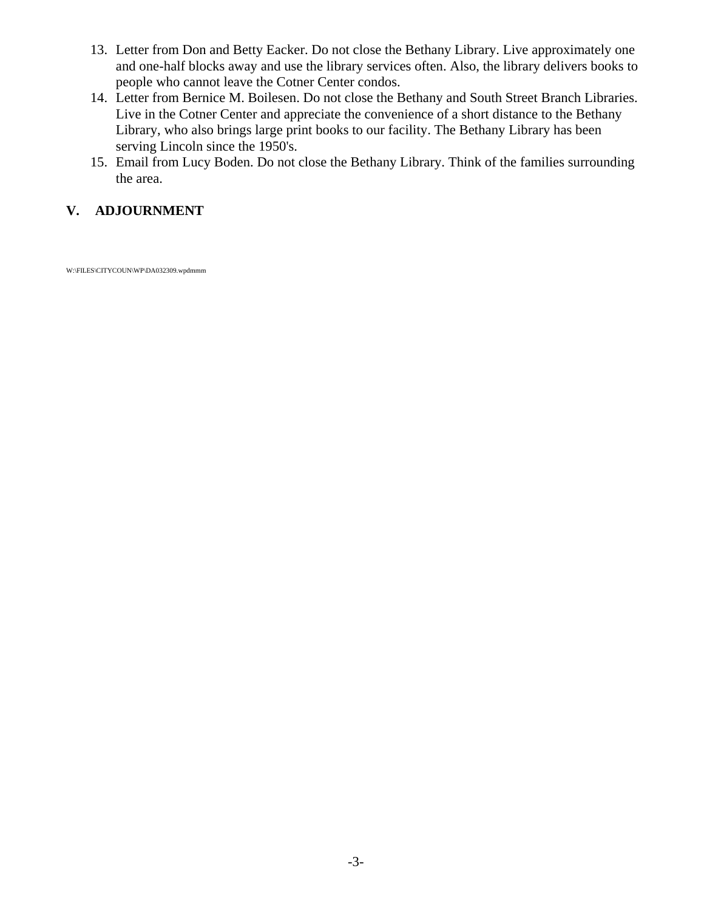- 13. Letter from Don and Betty Eacker. Do not close the Bethany Library. Live approximately one and one-half blocks away and use the library services often. Also, the library delivers books to people who cannot leave the Cotner Center condos.
- 14. Letter from Bernice M. Boilesen. Do not close the Bethany and South Street Branch Libraries. Live in the Cotner Center and appreciate the convenience of a short distance to the Bethany Library, who also brings large print books to our facility. The Bethany Library has been serving Lincoln since the 1950's.
- 15. Email from Lucy Boden. Do not close the Bethany Library. Think of the families surrounding the area.

# **V. ADJOURNMENT**

W:\FILES\CITYCOUN\WP\DA032309.wpdmmm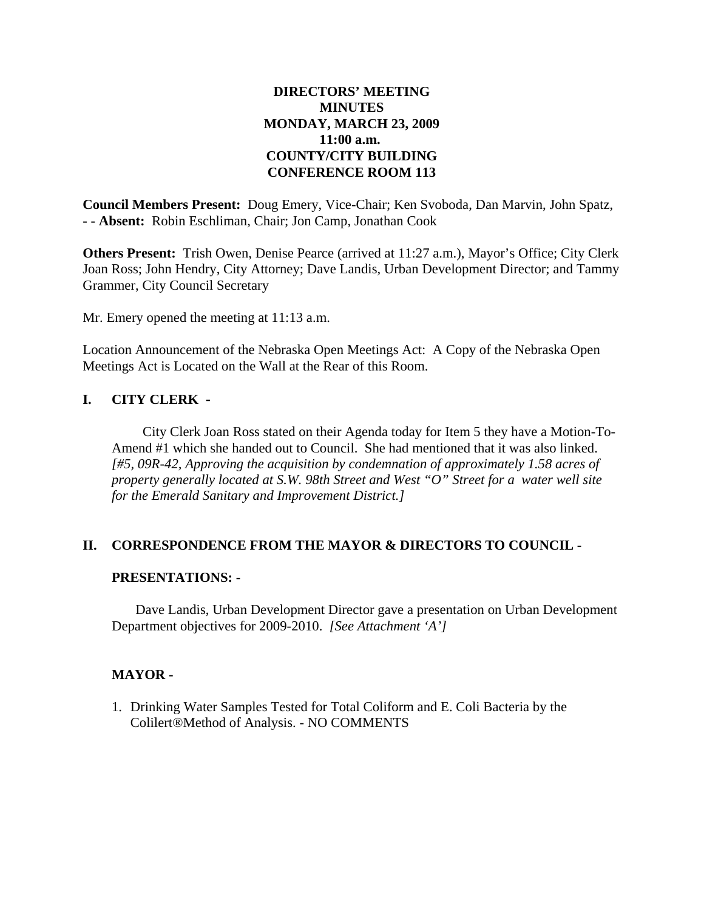# **DIRECTORS' MEETING MINUTES MONDAY, MARCH 23, 2009 11:00 a.m. COUNTY/CITY BUILDING CONFERENCE ROOM 113**

**Council Members Present:** Doug Emery, Vice-Chair; Ken Svoboda, Dan Marvin, John Spatz, **- - Absent:** Robin Eschliman, Chair; Jon Camp, Jonathan Cook

**Others Present:** Trish Owen, Denise Pearce (arrived at 11:27 a.m.), Mayor's Office; City Clerk Joan Ross; John Hendry, City Attorney; Dave Landis, Urban Development Director; and Tammy Grammer, City Council Secretary

Mr. Emery opened the meeting at 11:13 a.m.

Location Announcement of the Nebraska Open Meetings Act: A Copy of the Nebraska Open Meetings Act is Located on the Wall at the Rear of this Room.

# **I. CITY CLERK -**

City Clerk Joan Ross stated on their Agenda today for Item 5 they have a Motion-To-Amend #1 which she handed out to Council. She had mentioned that it was also linked. *[#5, 09R-42, Approving the acquisition by condemnation of approximately 1.58 acres of property generally located at S.W. 98th Street and West "O" Street for a water well site for the Emerald Sanitary and Improvement District.]*

# **II. CORRESPONDENCE FROM THE MAYOR & DIRECTORS TO COUNCIL -**

#### **PRESENTATIONS:** -

Dave Landis, Urban Development Director gave a presentation on Urban Development Department objectives for 2009-2010. *[See Attachment 'A']*

#### **MAYOR -**

1. Drinking Water Samples Tested for Total Coliform and E. Coli Bacteria by the Colilert®Method of Analysis. - NO COMMENTS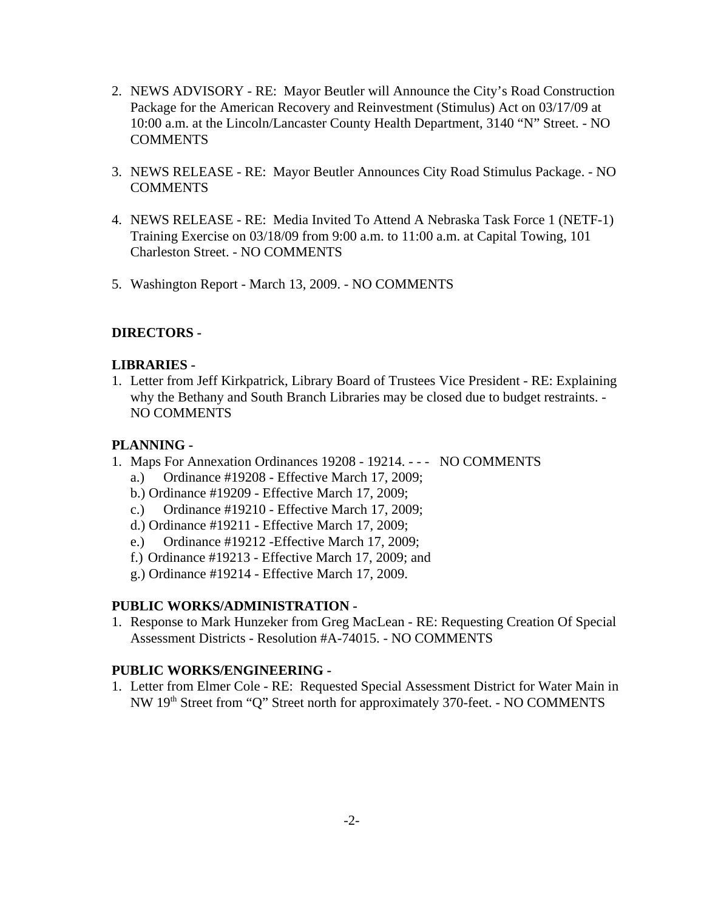- 2. NEWS ADVISORY RE: Mayor Beutler will Announce the City's Road Construction Package for the American Recovery and Reinvestment (Stimulus) Act on 03/17/09 at 10:00 a.m. at the Lincoln/Lancaster County Health Department, 3140 "N" Street. - NO **COMMENTS**
- 3. NEWS RELEASE RE: Mayor Beutler Announces City Road Stimulus Package. NO **COMMENTS**
- 4. NEWS RELEASE RE: Media Invited To Attend A Nebraska Task Force 1 (NETF-1) Training Exercise on 03/18/09 from 9:00 a.m. to 11:00 a.m. at Capital Towing, 101 Charleston Street. - NO COMMENTS
- 5. Washington Report March 13, 2009. NO COMMENTS

# **DIRECTORS -**

#### **LIBRARIES -**

1. Letter from Jeff Kirkpatrick, Library Board of Trustees Vice President - RE: Explaining why the Bethany and South Branch Libraries may be closed due to budget restraints. - NO COMMENTS

# **PLANNING -**

- 1. Maps For Annexation Ordinances 19208 19214. - NO COMMENTS
	- a.) Ordinance #19208 Effective March 17, 2009;
	- b.) Ordinance #19209 Effective March 17, 2009;
	- c.) Ordinance #19210 Effective March 17, 2009;
	- d.) Ordinance #19211 Effective March 17, 2009;
	- e.) Ordinance #19212 -Effective March 17, 2009;
	- f.) Ordinance #19213 Effective March 17, 2009; and
	- g.) Ordinance #19214 Effective March 17, 2009.

#### **PUBLIC WORKS/ADMINISTRATION -**

1. Response to Mark Hunzeker from Greg MacLean - RE: Requesting Creation Of Special Assessment Districts - Resolution #A-74015. - NO COMMENTS

#### **PUBLIC WORKS/ENGINEERING -**

1. Letter from Elmer Cole - RE: Requested Special Assessment District for Water Main in NW 19th Street from "Q" Street north for approximately 370-feet. - NO COMMENTS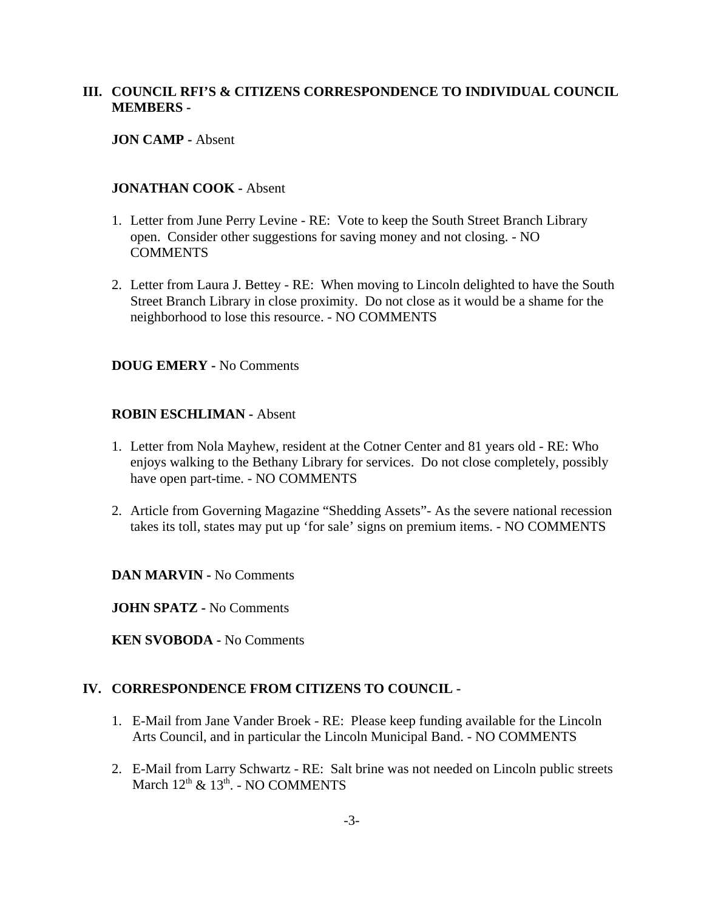# **III. COUNCIL RFI'S & CITIZENS CORRESPONDENCE TO INDIVIDUAL COUNCIL MEMBERS -**

#### **JON CAMP -** Absent

#### **JONATHAN COOK -** Absent

- 1. Letter from June Perry Levine RE: Vote to keep the South Street Branch Library open. Consider other suggestions for saving money and not closing. - NO **COMMENTS**
- 2. Letter from Laura J. Bettey RE: When moving to Lincoln delighted to have the South Street Branch Library in close proximity. Do not close as it would be a shame for the neighborhood to lose this resource. - NO COMMENTS

#### **DOUG EMERY -** No Comments

#### **ROBIN ESCHLIMAN -** Absent

- 1. Letter from Nola Mayhew, resident at the Cotner Center and 81 years old RE: Who enjoys walking to the Bethany Library for services. Do not close completely, possibly have open part-time. - NO COMMENTS
- 2. Article from Governing Magazine "Shedding Assets"- As the severe national recession takes its toll, states may put up 'for sale' signs on premium items. - NO COMMENTS

**DAN MARVIN -** No Comments

**JOHN SPATZ -** No Comments

**KEN SVOBODA -** No Comments

#### **IV. CORRESPONDENCE FROM CITIZENS TO COUNCIL -**

- 1. E-Mail from Jane Vander Broek RE: Please keep funding available for the Lincoln Arts Council, and in particular the Lincoln Municipal Band. - NO COMMENTS
- 2. E-Mail from Larry Schwartz RE: Salt brine was not needed on Lincoln public streets March  $12<sup>th</sup>$  &  $13<sup>th</sup>$ . - NO COMMENTS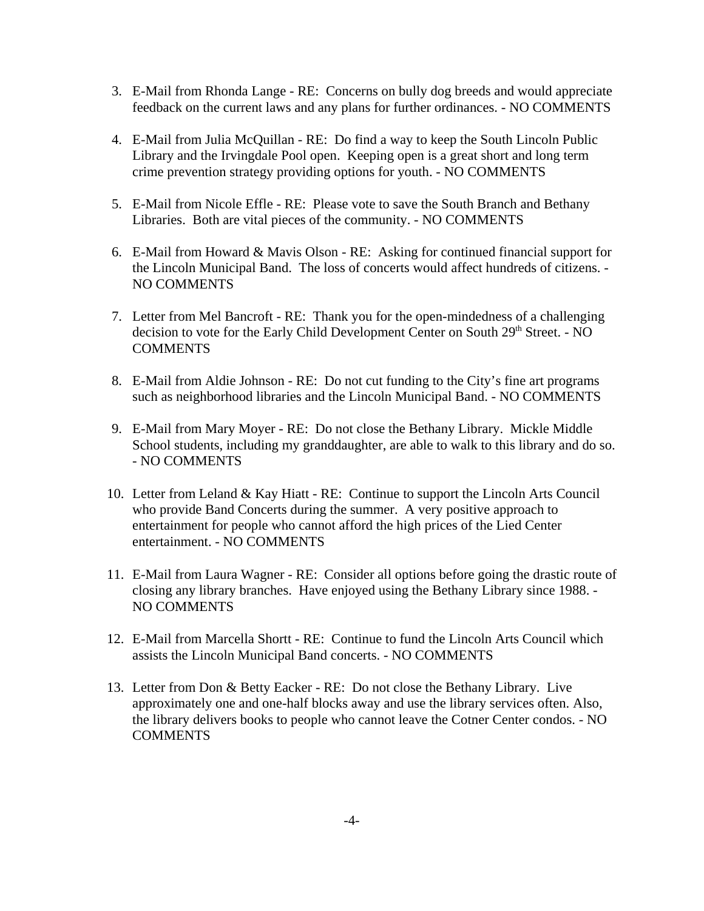- 3. E-Mail from Rhonda Lange RE: Concerns on bully dog breeds and would appreciate feedback on the current laws and any plans for further ordinances. - NO COMMENTS
- 4. E-Mail from Julia McQuillan RE: Do find a way to keep the South Lincoln Public Library and the Irvingdale Pool open. Keeping open is a great short and long term crime prevention strategy providing options for youth. - NO COMMENTS
- 5. E-Mail from Nicole Effle RE: Please vote to save the South Branch and Bethany Libraries. Both are vital pieces of the community. - NO COMMENTS
- 6. E-Mail from Howard & Mavis Olson RE: Asking for continued financial support for the Lincoln Municipal Band. The loss of concerts would affect hundreds of citizens. - NO COMMENTS
- 7. Letter from Mel Bancroft RE: Thank you for the open-mindedness of a challenging decision to vote for the Early Child Development Center on South 29<sup>th</sup> Street. - NO **COMMENTS**
- 8. E-Mail from Aldie Johnson RE: Do not cut funding to the City's fine art programs such as neighborhood libraries and the Lincoln Municipal Band. - NO COMMENTS
- 9. E-Mail from Mary Moyer RE: Do not close the Bethany Library. Mickle Middle School students, including my granddaughter, are able to walk to this library and do so. - NO COMMENTS
- 10. Letter from Leland & Kay Hiatt RE: Continue to support the Lincoln Arts Council who provide Band Concerts during the summer. A very positive approach to entertainment for people who cannot afford the high prices of the Lied Center entertainment. - NO COMMENTS
- 11. E-Mail from Laura Wagner RE: Consider all options before going the drastic route of closing any library branches. Have enjoyed using the Bethany Library since 1988. - NO COMMENTS
- 12. E-Mail from Marcella Shortt RE: Continue to fund the Lincoln Arts Council which assists the Lincoln Municipal Band concerts. - NO COMMENTS
- 13. Letter from Don & Betty Eacker RE: Do not close the Bethany Library. Live approximately one and one-half blocks away and use the library services often. Also, the library delivers books to people who cannot leave the Cotner Center condos. - NO COMMENTS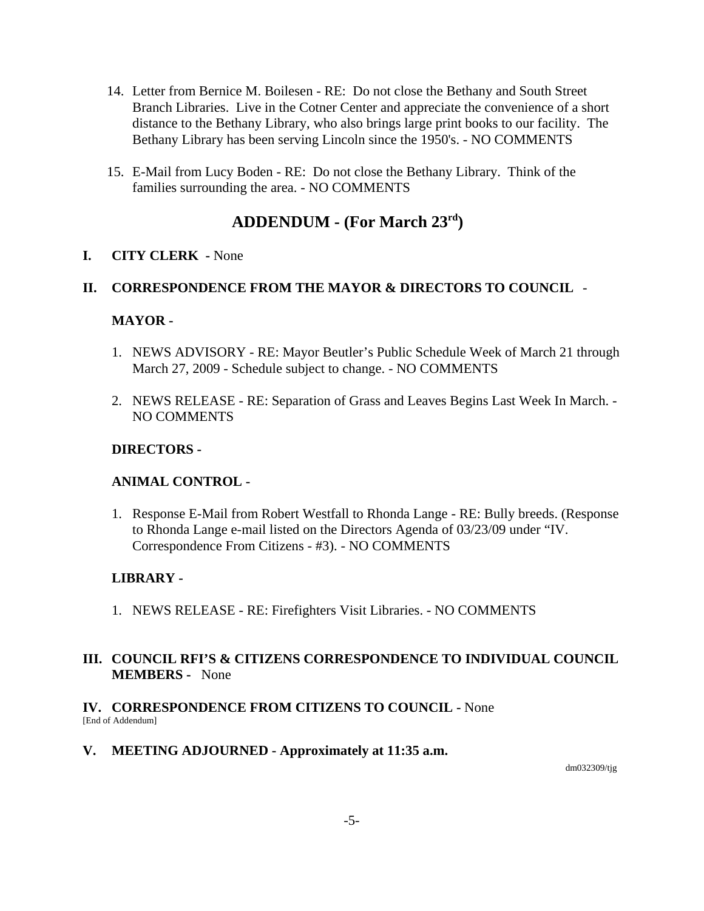- 14. Letter from Bernice M. Boilesen RE: Do not close the Bethany and South Street Branch Libraries. Live in the Cotner Center and appreciate the convenience of a short distance to the Bethany Library, who also brings large print books to our facility. The Bethany Library has been serving Lincoln since the 1950's. - NO COMMENTS
- 15. E-Mail from Lucy Boden RE: Do not close the Bethany Library. Think of the families surrounding the area. - NO COMMENTS

# **ADDENDUM - (For March 23rd)**

# **I. CITY CLERK -** None

# **II. CORRESPONDENCE FROM THE MAYOR & DIRECTORS TO COUNCIL** -

# **MAYOR -**

- 1. NEWS ADVISORY RE: Mayor Beutler's Public Schedule Week of March 21 through March 27, 2009 - Schedule subject to change. - NO COMMENTS
- 2. NEWS RELEASE RE: Separation of Grass and Leaves Begins Last Week In March. NO COMMENTS

# **DIRECTORS -**

# **ANIMAL CONTROL -**

1. Response E-Mail from Robert Westfall to Rhonda Lange - RE: Bully breeds. (Response to Rhonda Lange e-mail listed on the Directors Agenda of 03/23/09 under "IV. Correspondence From Citizens - #3). - NO COMMENTS

# **LIBRARY -**

1. NEWS RELEASE - RE: Firefighters Visit Libraries. - NO COMMENTS

# **III. COUNCIL RFI'S & CITIZENS CORRESPONDENCE TO INDIVIDUAL COUNCIL MEMBERS -** None

#### **IV. CORRESPONDENCE FROM CITIZENS TO COUNCIL -** None [End of Addendum]

**V. MEETING ADJOURNED - Approximately at 11:35 a.m.** 

dm032309/tjg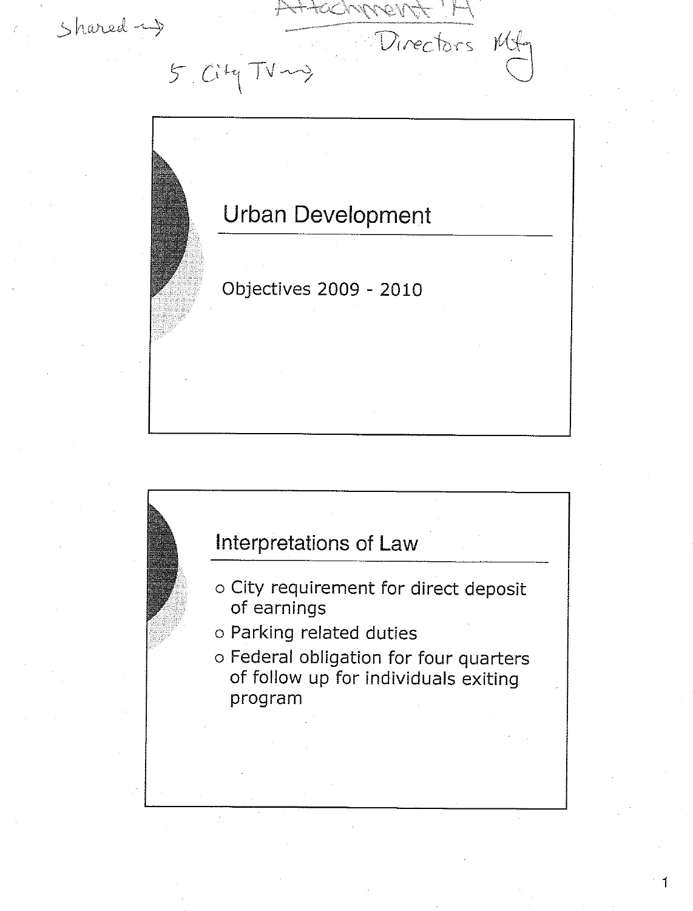Shared ~>



KOMARILE

 $5.0474)$ 

Directors Mt

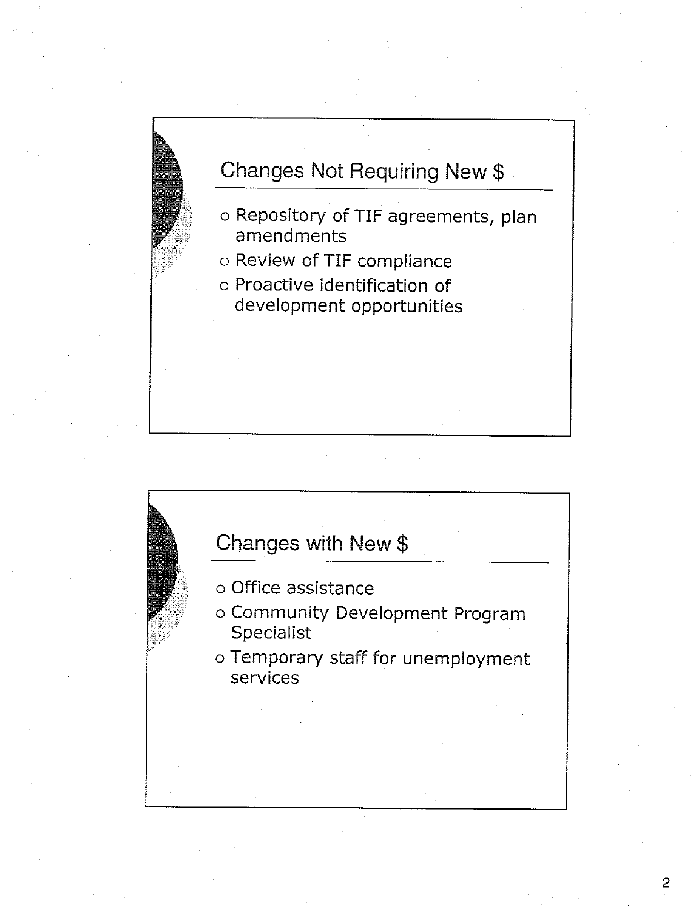

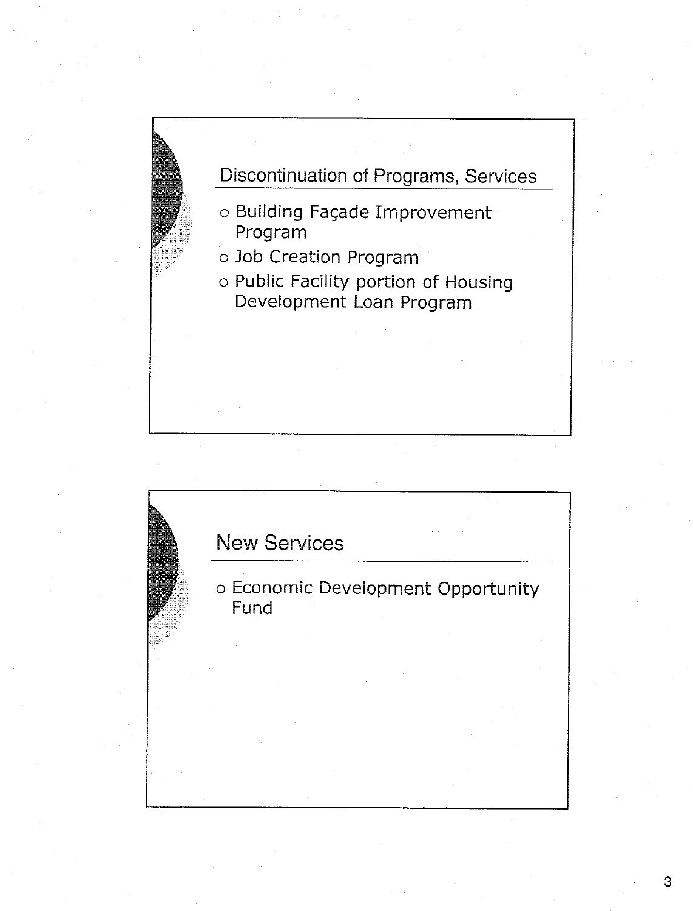

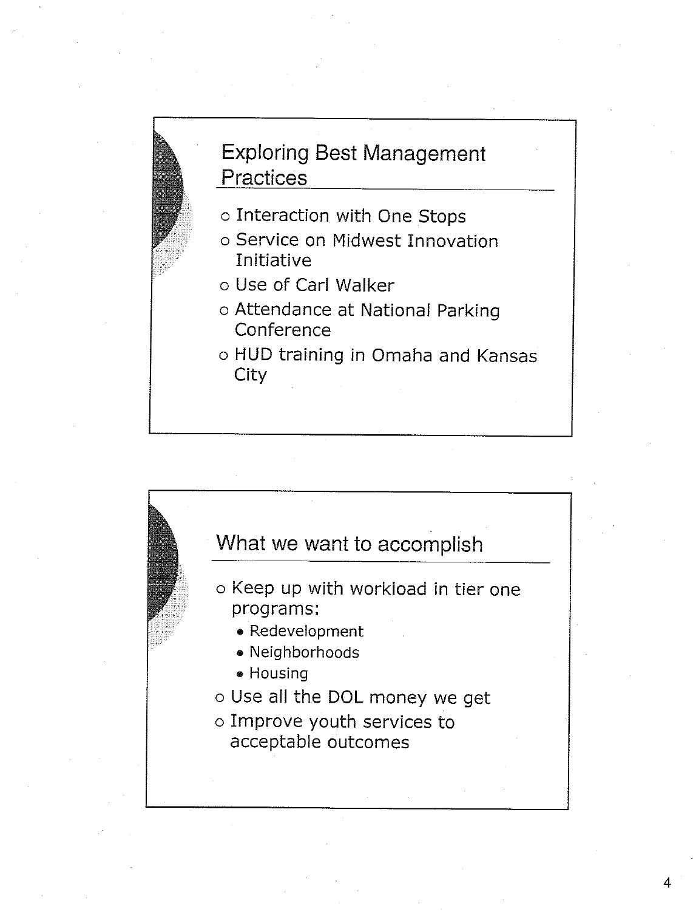# **Exploring Best Management** Practices

- o Interaction with One Stops
- o Service on Midwest Innovation Initiative
- o Use of Carl Walker
- o Attendance at National Parking Conference
- o HUD training in Omaha and Kansas City